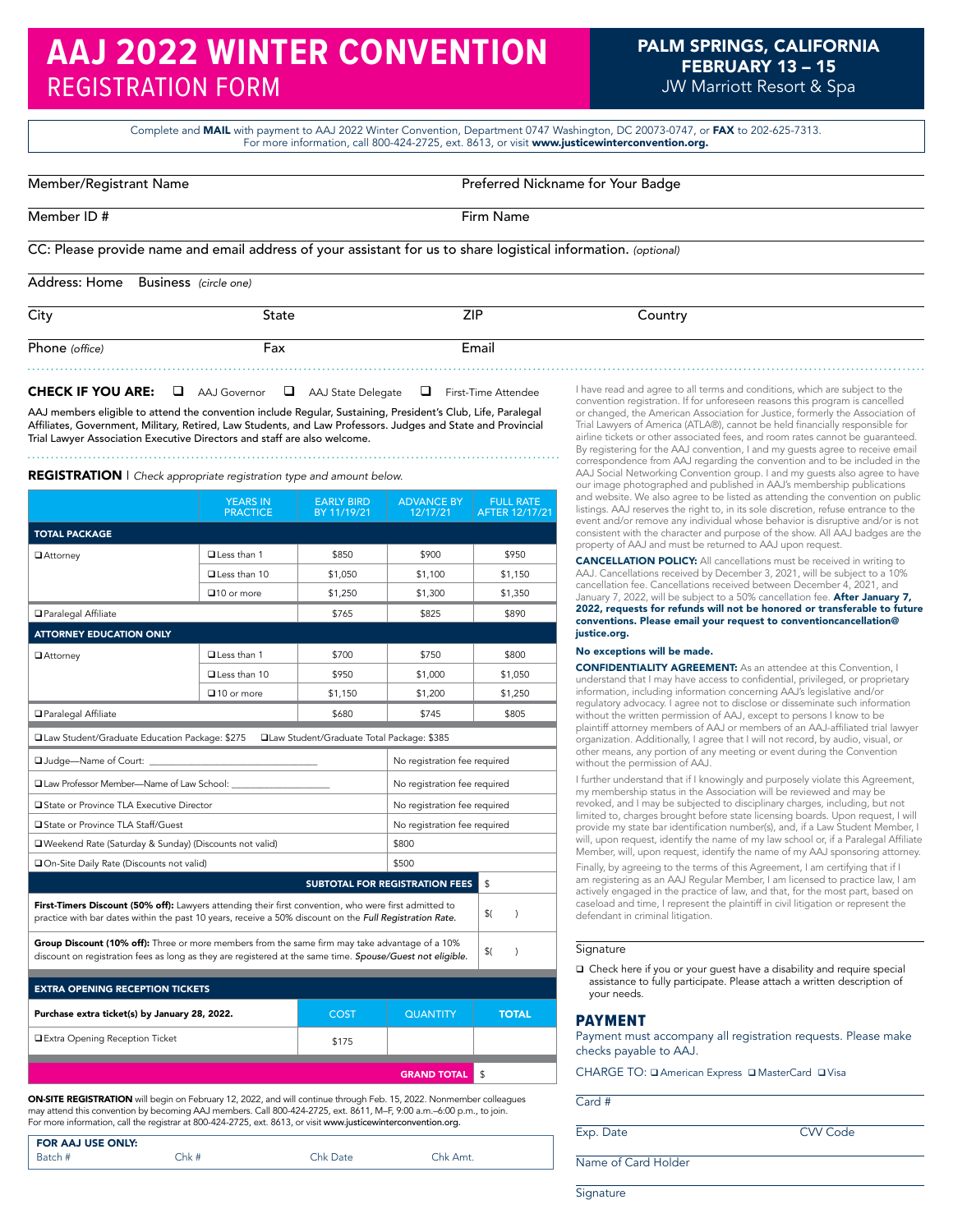# **AAJ 2022 WINTER CONVENTION** REGISTRATION FORM

Complete and MAIL with payment to AAJ 2022 Winter Convention, Department 0747 Washington, DC 20073-0747, or FAX to 202-625-7313. For more information, call 800-424-2725, ext. 8613, or visit www.justicewinterconvention.org.

Member/Registrant Name Preferred Nickname for Your Badge

```
Member ID # Firm Name
```
CC: Please provide name and email address of your assistant for us to share logistical information. *(optional)*

Address: Home Business *(circle one)*

| City           | State | ZIP   | Country |  |
|----------------|-------|-------|---------|--|
| Phone (office) | ⊢ax   | Email |         |  |

CHECK IF YOU ARE:  $\Box$  AAJ Governor  $\Box$  AAJ State Delegate  $\Box$  First-Time Attendee

AAJ members eligible to attend the convention include Regular, Sustaining, President's Club, Life, Paralegal Affiliates, Government, Military, Retired, Law Students, and Law Professors. Judges and State and Provincial Trial Lawyer Association Executive Directors and staff are also welcome.

REGISTRATION I *Check appropriate registration type and amount below.*

|                                                                                                                                                                                                                  | <b>YEARS IN</b><br><b>PRACTICE</b> | <b>EARLY BIRD</b><br>BY 11/19/21           | <b>ADVANCE BY</b><br>12/17/21         | <b>FULL RATE</b><br>AFTER 12/17/21 |
|------------------------------------------------------------------------------------------------------------------------------------------------------------------------------------------------------------------|------------------------------------|--------------------------------------------|---------------------------------------|------------------------------------|
| <b>TOTAL PACKAGE</b>                                                                                                                                                                                             |                                    |                                            |                                       |                                    |
| <b>□</b> Attorney                                                                                                                                                                                                | Less than 1                        | \$850                                      | \$900                                 | \$950                              |
|                                                                                                                                                                                                                  | $\Box$ less than 10                | \$1,050                                    | \$1,100                               | \$1,150                            |
|                                                                                                                                                                                                                  | $\Box$ 10 or more                  | \$1,250                                    | \$1,300                               | \$1,350                            |
| Paralegal Affiliate                                                                                                                                                                                              |                                    | \$765                                      | \$825                                 | \$890                              |
| <b>ATTORNEY EDUCATION ONLY</b>                                                                                                                                                                                   |                                    |                                            |                                       |                                    |
| <b>Attorney</b>                                                                                                                                                                                                  | Less than 1                        | \$700                                      | \$750                                 | \$800                              |
|                                                                                                                                                                                                                  | $\Box$ less than 10                | \$950                                      | \$1,000                               | \$1,050                            |
|                                                                                                                                                                                                                  | $\Box$ 10 or more                  | \$1,150                                    | \$1,200                               | \$1,250                            |
| □ Paralegal Affiliate                                                                                                                                                                                            |                                    | \$680                                      | \$745                                 | \$805                              |
| □ Law Student/Graduate Education Package: \$275                                                                                                                                                                  |                                    | □Law Student/Graduate Total Package: \$385 |                                       |                                    |
| Judge-Name of Court:                                                                                                                                                                                             |                                    |                                            | No registration fee required          |                                    |
| □ Law Professor Member-Name of Law School:                                                                                                                                                                       |                                    |                                            | No registration fee required          |                                    |
| □ State or Province TI A Executive Director                                                                                                                                                                      |                                    |                                            | No registration fee required          |                                    |
| □ State or Province TLA Staff/Guest                                                                                                                                                                              |                                    |                                            | No registration fee required          |                                    |
| □ Weekend Rate (Saturday & Sunday) (Discounts not valid)                                                                                                                                                         |                                    |                                            | \$800                                 |                                    |
| □ On-Site Daily Rate (Discounts not valid)                                                                                                                                                                       |                                    |                                            | \$500                                 |                                    |
|                                                                                                                                                                                                                  |                                    |                                            | <b>SUBTOTAL FOR REGISTRATION FEES</b> | \$                                 |
| First-Timers Discount (50% off): Lawyers attending their first convention, who were first admitted to<br>practice with bar dates within the past 10 years, receive a 50% discount on the Full Registration Rate. |                                    |                                            |                                       |                                    |
| Group Discount (10% off): Three or more members from the same firm may take advantage of a 10%<br>discount on registration fees as long as they are registered at the same time. Spouse/Guest not eligible.      |                                    |                                            |                                       |                                    |
| <b>EXTRA OPENING RECEPTION TICKETS</b>                                                                                                                                                                           |                                    |                                            |                                       |                                    |
| Burchase overa ticket(s) by January 28, 2022                                                                                                                                                                     | COCT                               | <b>OUANTITY</b>                            | <b>TOTAL</b>                          |                                    |

extra ticket(s) by January 28, 20 **Extra Opening Reception Ticket** \$175 GRAND TOTAL \$

ON-SITE REGISTRATION will begin on February 12, 2022, and will continue through Feb. 15, 2022. Nonmember colleagues may attend this convention by becoming AAJ members. Call 800-424-2725, ext. 8611, M–F, 9:00 a.m.–6:00 p.m., to join. For more information, call the registrar at 800-424-2725, ext. 8613, or visit www.justicewinterconvention.org.

| <b>FOR AAJ USE ONLY:</b> |       |          |          |
|--------------------------|-------|----------|----------|
| Batch #                  | Chk # | Chk Date | Chk Amt. |

I have read and agree to all terms and conditions, which are subject to the convention registration. If for unforeseen reasons this program is cancelled or changed, the American Association for Justice, formerly the Association of Trial Lawyers of America (ATLA®), cannot be held financially responsible for airline tickets or other associated fees, and room rates cannot be guaranteed. By registering for the AAJ convention, I and my guests agree to receive email correspondence from AAJ regarding the convention and to be included in the AAJ Social Networking Convention group. I and my guests also agree to have our image photographed and published in AAJ's membership publications and website. We also agree to be listed as attending the convention on public listings. AAJ reserves the right to, in its sole discretion, refuse entrance to the event and/or remove any individual whose behavior is disruptive and/or is not consistent with the character and purpose of the show. All AAJ badges are the property of AAJ and must be returned to AAJ upon request.

CANCELLATION POLICY: All cancellations must be received in writing to AAJ. Cancellations received by December 3, 2021, will be subject to a 10% cancellation fee. Cancellations received between December 4, 2021, and January 7, 2022, will be subject to a 50% cancellation fee. **After January 7,** 2022, requests for refunds will not be honored or transferable to future conventions. Please email your request to conventioncancellation@ justice.org.

#### No exceptions will be made.

CONFIDENTIALITY AGREEMENT: As an attendee at this Convention, I understand that I may have access to confidential, privileged, or proprietary information, including information concerning AAJ's legislative and/or regulatory advocacy. I agree not to disclose or disseminate such information without the written permission of AAJ, except to persons I know to be plaintiff attorney members of AAJ or members of an AAJ-affiliated trial lawyer organization. Additionally, I agree that I will not record, by audio, visual, or other means, any portion of any meeting or event during the Convention without the permission of AAJ.

I further understand that if I knowingly and purposely violate this Agreement, my membership status in the Association will be reviewed and may be revoked, and I may be subjected to disciplinary charges, including, but not limited to, charges brought before state licensing boards. Upon request, I will provide my state bar identification number(s), and, if a Law Student Member, I will, upon request, identify the name of my law school or, if a Paralegal Affiliate Member, will, upon request, identify the name of my AAJ sponsoring attorney.

Finally, by agreeing to the terms of this Agreement, I am certifying that if I am registering as an AAJ Regular Member, I am licensed to practice law, I am actively engaged in the practice of law, and that, for the most part, based on caseload and time, I represent the plaintiff in civil litigation or represent the defendant in criminal litigation.

#### **Signature**

 Check here if you or your guest have a disability and require special assistance to fully participate. Please attach a written description of your needs.

### PAYMENT

Payment must accompany all registration requests. Please make checks payable to AAJ.

CHARGE TO: □ American Express □ MasterCard □ Visa

Card #

Exp. Date CVV Code

Name of Card Holder

Signature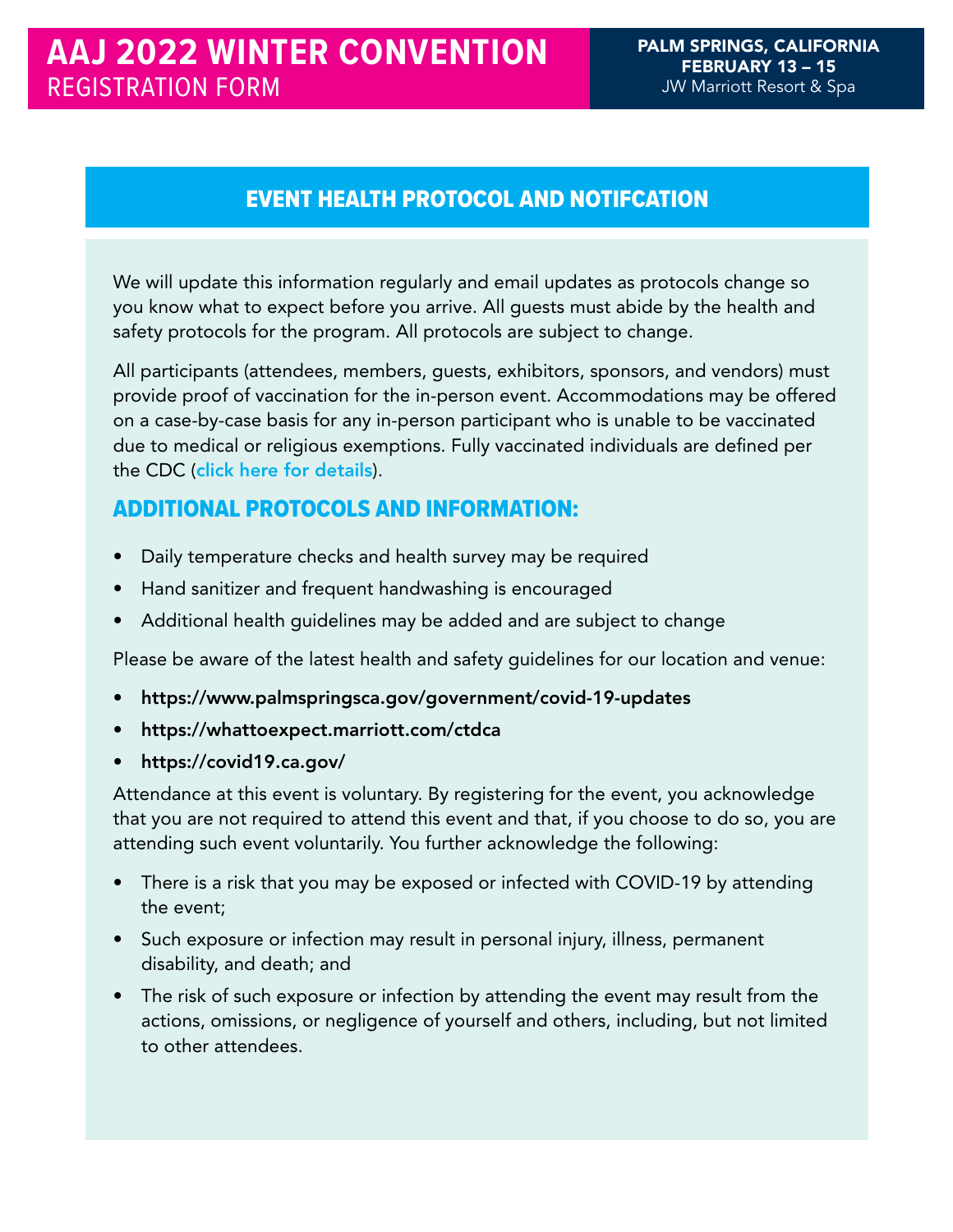### EVENT HEALTH PROTOCOL AND NOTIFCATION

We will update this information regularly and email updates as protocols change so you know what to expect before you arrive. All guests must abide by the health and safety protocols for the program. All protocols are subject to change.

All participants (attendees, members, guests, exhibitors, sponsors, and vendors) must provide proof of vaccination for the in-person event. Accommodations may be offered on a case-by-case basis for any in-person participant who is unable to be vaccinated due to medical or religious exemptions. Fully vaccinated individuals are defined per the CDC ([click here for details](https://www.cdc.gov/coronavirus/2019-ncov/vaccines/fully-vaccinated.html)).

## ADDITIONAL PROTOCOLS AND INFORMATION:

- Daily temperature checks and health survey may be required
- Hand sanitizer and frequent handwashing is encouraged
- Additional health quidelines may be added and are subject to change

Please be aware of the latest health and safety guidelines for our location and venue:

- <https://www.palmspringsca.gov/government/covid-19-updates>
- <https://whattoexpect.marriott.com/ctdca>
- <https://covid19.ca.gov/>

Attendance at this event is voluntary. By registering for the event, you acknowledge that you are not required to attend this event and that, if you choose to do so, you are attending such event voluntarily. You further acknowledge the following:

- There is a risk that you may be exposed or infected with COVID-19 by attending the event;
- Such exposure or infection may result in personal injury, illness, permanent disability, and death; and
- The risk of such exposure or infection by attending the event may result from the actions, omissions, or negligence of yourself and others, including, but not limited to other attendees.